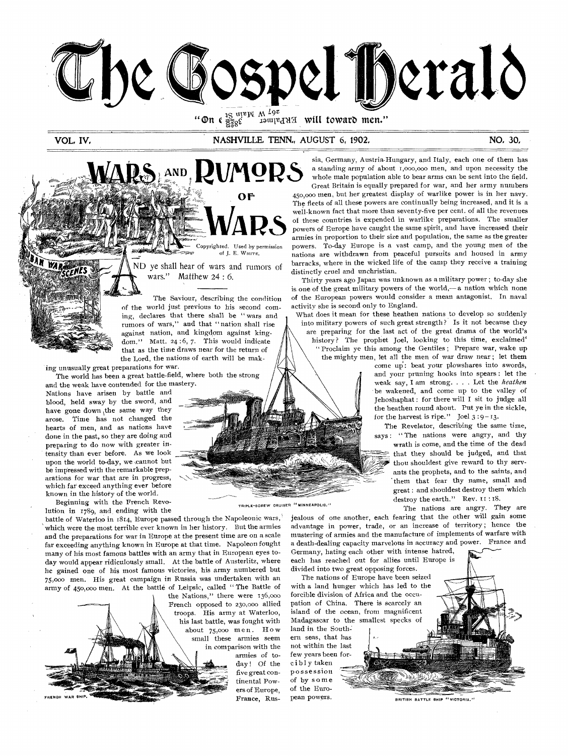

will toward men." "On  $\epsilon$   $\frac{15}{858}$   $\epsilon$   $\frac{1}{120}$   $\frac{1}{120}$   $\epsilon$ 

VOL, IV, NASHVILLE, TENN, AUGUST 6, 1902, NO, 30, NO, 30,

S. AND, RUMORS **OF**  Copyrighted. Used by permission of J. E. WHITE. ND ye shall hear of wars and rumors of wars." Matthew 24 : 6. The Saviour, describing the condition of the world just previous to his second com-

ing, declares that there shall be " wars and rumors of wars," and that "nation shall rise against nation, and kingdom against kingdom." Matt. 24:6, 7. This would indicate that as the time draws near for the return of the Lord, the nations of earth will be mak-

ing unusually great preparations for war. The world has been a great battle-field, where both the strong

and the weak have contended for the mastery. Nations have arisen by battle and blood, held sway by the sword, and have gone down the same way they arose. Time has not changed the hearts of men, and as nations have done in the past, so they are doing and preparing to do now with greater intensity than ever before. As we look upon the world to-day, we cannot but be impressed with the remarkable preparations for war that are in progress, which far exceed anything ever before known in the history of the world.

Beginning with the French Revolution in 1789, and, ending with the

battle of Waterloo in 1814, Europe passed through the Napoleonic wars,' which were the most terrible ever known in her history. But the armies and the preparations for war in Europe at the present time are on a scale far exceeding anything known in Europe at that time. Napoleon fought many of his most famous battles with an army that in European eyes today would appear ridiculously small. At the battle of Austerlitz, where he gained one of his most famous victories, his army numbered but 75,00o men. His great campaign in Russia was undertaken with an army of 450,000 men. At the battle of Leipsic, called " The Battle of

the Nations," there were 136,000 French opposed to 230,000 allied troops. His army at Waterloo, his last battle, was fought with about 75,000 men. How small these armies seem in comparison with the armies of today ! Of the five great continental Pow ers of Europe. FRENOH WAR SHIP.

TRIPLE-SCREW CRUISER "MINNEAPOLIS."

sia, Germany, Austria-Hungary, and Italy, each one of them has a standing army of about f,000,000 men, and upon necessity the whole male population able to bear arms can be sent into the field.

Great Britain is equally prepared for war, and her army numbers 450,000 men, but her greatest display of warlike power is in her navy. The fleets of all these powers are continually being increased, and it is a well-known fact that more than seventy-five per cent. of all the revenues of these countries is expended in warlike preparations. The smaller powers of Europe have caught the same spirit, and have increased their armies in proportion to their size and population, the same as the greater powers. To-day Europe is a vast camp, and the young men of the nations are withdrawn from peaceful pursuits and housed in army barracks, where in the wicked life of the camp they receive a training distinctly cruel and unchristian.

Thirty years ago Japan was unknown as a military power ; to-day she is one of the great military powers of the world,— a nation which none of the European powers would consider a mean antagonist. In naval activity she is second only to England.

What does it mean for these heathen nations to develop so suddenly into military powers of such great strength? Is it not because they are preparing for the last act of the great drama of the world's history? The prophet Joel, looking to this time, exclaimed' " Proclaim ye this among the Gentiles ; Prepare war, wake up the mighty men, let all the men of war draw near ; let them

come up: beat your plowshares into swords, and your pruning hooks into spears : let the weak say, I am strong. . . . Let the *heathen*  be wakened, and come up to the valley of Jehoshaphat : for there will I sit to judge all the heathen round about. Put ye in the sickle, for the harvest is ripe." Joel  $3:9-13$ .

The Revelator, describing the same time, says: "The nations were angry, and thy wrath is come, and the time of the dead that they should be judged, and that thou shouldest give reward to thy serv ants the prophets, and to the saints, and them that fear thy name, small and great : and shouldest destroy them which destroy the earth." Rev. 11:18.

The nations are angry. They are

jealous of one another, each fearing that the other will gain some advantage in power, trade, or an increase of territory ; hence the mustering of armies and the manufacture of implements of warfare with a death-dealing capacity marvelous in accuracy and power. France and Germany, hating each other with intense hatred,

each has reached out for allies until Europe is divided into two great opposing forces.

with a land hunger which has led to the forcible division of Africa and the occupation of China. There is scarcely an island of the ocean, from magnificent Madagascar to the smallest specks of land in the South-

ern seas, that has not within the last few years been forcibly taken possession of by some of the Euro-

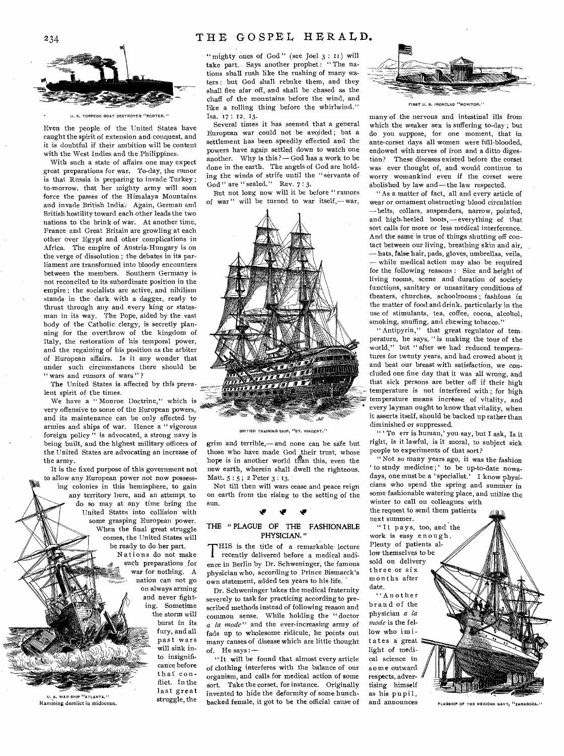# THE GOSPEL HERALD.



EDO BDAT DESTROYER "PORTER." ISA.  $17: 12, 13$ .

Even the people of the United States have caught the spirit of extension and conquest, and it is doubtful if their ambition will be content with the West Indies and the Philippines.

With such a state of affairs one may expect great preparations for war. To-day, the rumor is that Russia is preparing to invade Turkey ; to-morrow, that her mighty army will soon force the passes of the Himalaya Mountains and invade British India. Again, German and British hostility toward each other leads the two nations to the brink of war. At another time, France and Great Britain are growling at each other over Egypt and other complications in Africa. The empire of Austria-Hungary is on the verge of dissolution ; the debates in its parliament are transformed into bloody encounters between the members. Southern Germany is not reconciled to its subordinate position in the empire ; the socialists are active, and nihilism stands in the dark with a dagger, ready to thrust through any and every king or statesman in its way. The Pope, aided by the vast body of the Catholic clergy, is secretly planning for the overthrow of the kingdom of Italy, the restoration of his temporal power, and the regaining of his position as the arbiter of European affairs. Is it any wonder that under such circumstances there should be " wars and rumors of wars"?

The United States is affected by this prevalent spirit of the times.

We have a "Monroe Doctrine," which is very offensive to some of the European powers, and its maintenance can be only effected by armies and ships of war. Hence a " vigorous foreign policy" is advocated, a strong navy is being built, and the highest military officers of the United States are advocating an increase of the army.

It is the fixed purpose of this government not to allow any European power not now possessing colonies in this hemisphere, to gain any territory here, and an attempt to do so may at any time bring the United States into collision with some grasping European power. When the final great struggle comes, the United States will be ready to do her part.

Nations do not make such preparations for war for nothing. A nation can not go on always arming and never fighting. Sometime the storm will

burst in its fury, and all past wars will sink into insignificance before that conflict. In the last great struggle, the



" mighty ones of God" (see Joel  $3: I1$ ) will take part. Says another prophet : " The nations shall rush like the rushing of many waters : but God shall rebuke them, and they shall flee afar off, and shall be chased as the chaff of the mountains before the wind, and Iike a rolling thing before the whirlwind." FIRST U. 8. IRONCLAD "MONITOR."

Several times it has seemed that a general European war could not be avoided ; but a settlement has been, speedily effected and the powers have again settled down to watch one another. Why is this ?— God has a work to be done in the earth. The angels of God are holding the winds of strife until the "servants of God " are " sealed." Rev. 7:3.

But not long now will it be before " rumors of war" will be turned to war itself,—war,



BRITISH TRAINING SHIP, "ST. VINCENT."

grim and terrible,— and none can be safe but those who have made God their trust, whose hope is in another world than this, even the new earth, wherein shall dwell the righteous. Matt. 5:5; 2 Peter 3:13.

Not till then will wars cease and peace reign on earth from the rising to the setting of the sun.

## If NV

### THE " PLAGUE OF THE FASHIONABLE PHYSICIAN, "

THIS is the title of a remarkable lecture<br>recently delivered before a medical audi-<br>ence in Berlin by Dr. Schweninger, the famous HIS is the title of a remarkable lecture recently delivered before a medical audiphysician who, according to Prince Bismarck's own statement, added ten years to his life.

Dr. Schweninger takes the medical fraternity severely to task for practicing according to prescribed methods instead of following reason and common sense. While holding the " doctor *a la mode"* and the ever-increasing army of fads up to wholesome ridicule, he points out many causes of disease which are little thought of. He says:—

"-It will be found that almost every article of clothing interferes with the balance of our organism, and calls for medical action of some sort. Take the corset, for instance. Originally invented to hide the deformity of some hunchbacked female, it was interest of the struggle, the backed female, it got to be the official cause of and announces  $F_{\text{LAGSHIP OF THE MEXIOAN\text{ MAYY, "ZARAGOZA.'}}$ 



many of the nervous and intestinal ills from which the weaker sex is suffering to-day ; but do you suppose, for one moment, that in ante-corset days all women were hill-blooded, endowed with nerves of iron and a ditto digestion? These diseases existed before the corset was ever thought of, and would continue to worry womankind even if the corset were abolished by law and—the law respected.

" As a matter of fact, all and every article of wear or ornament obstructing blood circulation — belts, collars, suspenders, narrow, pointed, and high-heeled boots, — everything of that sort calls for more or less medical interference. And the same is true of things shutting off contact between our living, breathing skin and air, — hats, false hair, pads, gloves, umbrellas, veils, — while medical action may also be required for the following reasons : Size and height of living rooms, scene and duration of society functions, sanitary or unsanitary conditions of theaters, churches, schoolrooms ; fashions in the matter of food and drink, particularly in the use of stimulants, tea, coffee, cocoa, alcohol, smoking, snuffing, and chewing tobacco."

" Antipyrin," that great regulator of temperature, he says, " is making the tour of the world," but " after we had reduced temperatures for twenty years, and had crowed about it and beat our breast with satisfaction, we concluded one fine day that it was all wrong, and that sick persons are better off if their high temperature is not interfered with ; for high temperature means increase of vitality, and every layman ought to know that vitality, when it asserts itself, should be backed up rather than diminished or suppressed.

" ' To err is human,' you say, but I ask, Is it right, is it lawful, is it moral, to subject sick people to experiments of that sort?

" Not so many years ago, it was the fashion ' to study medicine;' to be up-to-date nowadays, one must be a 'specialist.' I know physicians who spend the spring and summer in some fashionable watering place, and utilize the winter to call on colleagues with the request to send them patients

next summer. "It pays, too, and the work is easy enough . Plenty of patients allow themselves to be sold on delivery three or six months after date.

"Another brand of the physician *a la mode* is the fellow who imitates a great light of medical science in some outward respects, advertising himself as his pupil, and announces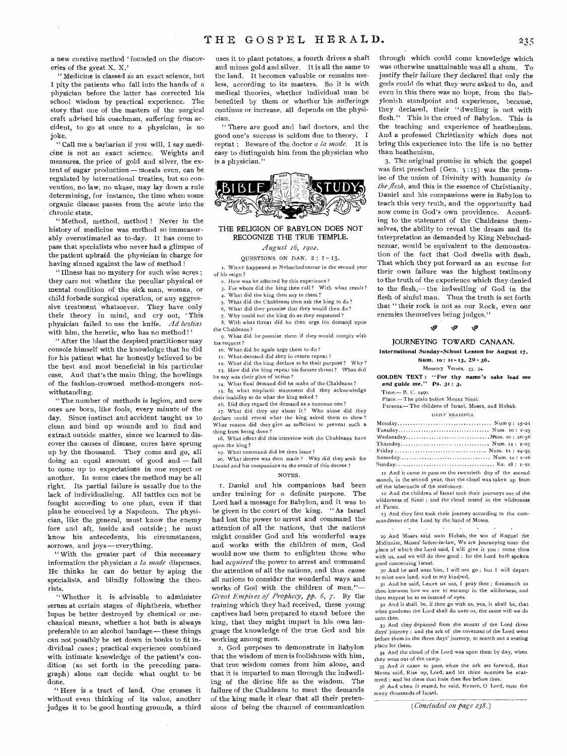a new curative method 'founded on the discoveries of the great X. X.'

" Medicine is classed as an exact science, but I pity the patients who fall into the hands of a physician before the latter has corrected his school wisdom by practical experience. The story that one of the masters of the surgical craft advised his coachman, suffering from accident, to go at once to a physician, is no joke.

" Call me a barbarian if you will, I say medicine is not an exact science. Weights and measures, the price of gold and silver, the extent of sugar production — morals even, can be regulated by international treaties, but no convention, no law, no ukase, may lay down a rule determining, for instance, the time when some organic disease passes from the acute into the chronic state.

" Method, method, method ! Never in the history of medicine was method so immeasurably overestimated as to-day. It has come to pass that specialists who never had a glimpse of the patient upbraid the physician in charge for having sinned against the law of method !

" Illness has no mystery for such wise acres ; they care not whether the peculiar physical or mental condition of the sick man, woman, or child forbade surgical operation, or any aggressive treatment whatsoever. They have only their theory in mind, and cry out, 'This physician failed to use the knife. *Ad bestias*  with him, the heretic, who has no method!'

" After the blast the despised practitioner may console himself with the knowledge that he did for his patient what he honestly believed to be the best and most beneficial in his particular case. And that's the main thing, the howlings of the fashion-crowned method-mongers notwithstanding.

" The number of methods is legion, and new ones are born, like fools, every minute of the day. Since instinct and accident taught us to clean and bind up wounds and to find and extract outside matter, since we learned to discover the causes of disease, cures have sprung up by the thousand. They come and go, all doing an equal amount of good and — fail to come up to expectations in one respect or another. In some cases the method may be all right. Its partial failure is usually due to the lack of individualizing. All battles can not be fought according to one plan, even if that plan be conceived by a Napoleon. The physician, like the general, must know the enemy fore and aft, inside and outside ; he must know his antecedents, his circumstances, sorrows, and joys— everything.

" With the greater part of this necessary information the physician *a la mode* dispenses. He thinks he can do better by aping the specialists, and blindly following the theorists.

" Whether it is advisable to administer serum at certain stages of diphtheria, whether lupus be better destroyed by chemical or mechanical means, whether a hot bath is always preferable to an alcohol bandage—these things can not possibly be set down in books to fit individual cases ; practical experience combined with intimate knowledge of the patient's condition (as set forth in the preceding paragraph) alone can decide what ought to be done.

" Here is a tract of land. One crosses it without even thinking of its value, another judges it to be good hunting grounds, a third

uses it to plant potatoes, a fourth drives a shaft and mines gold and silver. It is all the same to the land. It becomes valuable or remains useless, according to its masters. So it is with medical theories, whether individual man be benefited by them or whether his sufferings continue or increase, all depends on the physician.

" There are good and bad doctors, and the good one's success is seldom due to theory. I repeat : Beware of the doctor *a la mode.* It is easy to distinguish him from the physician who is a physician."



### THE RELIGION OF BABYLON DOES NOT RECOGNIZE THE TRUE TEMPLE,

*August z6, 1902.* 

### QUESTIONS ON DAN.  $2: 1-13$ .

I. WHAT happened to Nebuchadnezzar in the second year of his reign?

- 2. How was he affected by this experience ?
- 3. For whom did the king then call? With what result?
- 4. What did the king then say to them? 5. What did the Chaldeans then ask the king to do?
- 6, What did they promise that they would then do?
- 7. Why could not the king do as they requested ?

With what threat did he then urge his demand upon the Chaldeans?

9. What did he promise them if they would comply with his request ?

- xo. What did he again urge them to do?
- 11. What demand did they in return repeat?

12. What did the king declare to be their purpose? Why? 13. How did the king repeat his former threat? What did

he say was their plan of action ?

What final demand did he make of the Chaldeans? 15. In what emphatic statement did they acknowledge their inability to do what the king asked ?

x6. Did they regard the demand as a common one?

17. What did they say about it? Who alone did they declare could reveal what the king asked them to show? What reason did they give as sufficient to prevent such a thing from being done?

x8. What effect did *this interview with* the Chaldeans have upon the king ?

19. What command did he then issue ?

so. What decree was then made? Why did they seek for Daniel and his companions as the result of this decree ?

### NOTES.

1. Daniel and his companions had been under training for a definite purpose. The Lord had a message for Babylon, and it was to be given in the court of the king. " As Israel had lost the power to arrest and command the attention of all the nations, that the nations might consider God and his wonderful ways and works with the children of men, God would now use them to enlighten those who had *acquired* the power to arrest and command the attention of all the nations, and thus cause all nations to consider the wonderful ways and works of God with the children of men."— *Great Empiies of Prophecy, pp. 6,* 7. By the training which they had received, these young captives had been prepared to stand before the king, that they might impart in his own language the knowledge of the true God and his working among men.

2. God purposes to demonstrate in Babylon that the wisdom of men is foolishness with him, that true wisdom comes from him alone, and that it is imparted to man through the indwelling of the divine life as the wisdom. The failure of the Chaldeans to meet the demands of the king made it clear that all their pretensions of being the channel of communication through which could come knowledge which was otherwise unattainable was all a sham. To justify their failure they declared that only the gods could do what they were asked to do, and even in this there was no hope, from the Babylonish standpoint and experience, because, they declared, their "dwelling is not with flesh." This is the creed of Babylon. This is the teaching and experience of heathenism. And a professed Christianity which does not bring this experience into the life is no better than heathenism.

3. The original promise in which the gospel was first preached (Gen. 3 :15) was the promise of the union of Divinity with humanity *in the flesh,* and this is the essence of Christianity. Daniel and his companions were in Babylon to teach this very truth, and the opportunity had now come in God's own providence. According to the statement of the Chaldeans themselves, the ability to reveal the dream and its interpretation as demanded by King Nebuchadnezzar, would be equivalent to the demonstration of the fact that God dwells with flesh. That which they put forward as an excuse for their own failure was the highest testimony to the truth of the experience which they denied to the flesh,—the indwelling of God in the flesh of sinful man. Thus the truth is set forth that " their rock is not as our Rock, even our enemies themselves being judges."

#### tf9' W

# JOURNEYING TOWARD CANAAN,

International Sunday-School Lesson for August 17.

Num. 10: 11-13, 29-36.

Memory Verses, 33, 34.

GOLDEN TEXT : " For thy name's sake lead me

and *guide* me." Ps. 31: 3.

Time.— B. C. 1490.

Place.— The plain before Mount Sinai.

Persona—The children of Israel, Moses, and Hobab. DAILY READINGS.

| Thursday Num. 11: 1-23                                      |
|-------------------------------------------------------------|
|                                                             |
|                                                             |
|                                                             |
| 11 And it came to pass on the twentieth day of the second   |
| month, in the second year, that the cloud was taken up from |
| off the tabernacle of the testimony.                        |

12 And the children of Israel took their journeys out of the wilderness of Sinai ; and the cloud rested in the wilderness of Paran.

03 And they first took their journey according to the commandment of the Lord by the hand of Moses.

29 And Moses said unto Hobab, the son of Raguel the Midianite, Moses' father-in-law, We are journeying unto the place of which the Lord said, I will give it you : come thou with us, and we will do thee good : for the Lord hath spoken good concerning Israel.

30 And he said unto him, I will not go ; but I will depart to mine own land, and to my kindred.

31 And he said, Leave us not, I pray thee ; forasmuch as thou knowest how we are to' encamp in the wilderness, and thou mayest be to us instead of eyes.

32 And it shall be, if thou go with us, yea, it shall be, that what goodness the Lord shall do unto us, the *same will* we do unto thee.

33 And they departed from the mount of the Lord three days' journey : and the ark of the covenant of the Lord went before them in the three days' journey, to search out a resting place for them.

34 And the cloud of the Lord was upon them by day, when they went out of the camp.

35 And it came to pass, when the ark set forward, that Moses said, Rise up, Lord, and let thine enemies be scattered ; and let them that hate thee flee before thee.

36 And when it rested, he said, Return, 0 Lord, unto the *many* thousands of Israel.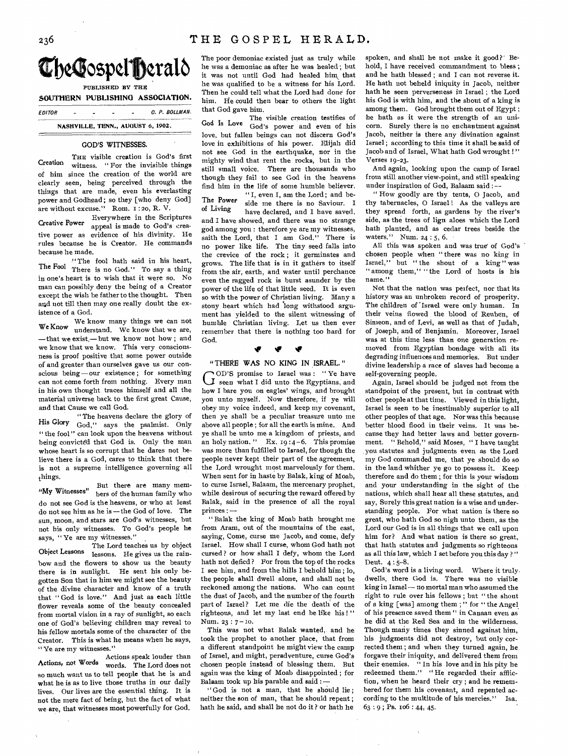

*EDITOR C. P. BOLLMAN.* 

**NASHVILLE, TENN., AUGUST 6, 1902.** 

## **GOD'S WITNESSES,**

THE visible creation is God's first Creation witness. " For the invisible things of him since the creation of the world are clearly seen, being perceived through the things that are made, even his everlasting power and Godhead ; so they [who deny God] are without excuse," Rom. I :2o, R. V.

Creative Power appeal is made to God's crea-Everywhere in the Scriptures tive power as evidence of his divinity. He rules because he is Creator. He commands because he made.

"The fool hath said in his heart, The Fool There is no God." To say a thing in one's heart is to wish that it were so. No man can possibly deny the being of a Creator except the wish be father to the thought. Then and not till then may one really doubt the existence of a God.

We know many things we can not We Know understand. We know that we are, —that we exist,—but we know not how ; and we know that we know. This very consciousness is proof positive that some power outside of and greater than ourselves gave us our conscious being—our existence; for something can not come forth from nothing. Every man in his own thought traces himself and all the material universe back to the first great Cause, and that Cause we call God.

" The heavens declare the glory of His **Glory** God," says the psalmist. Only "the fool" can look upon the heavens without being convicted that God is. Only the man whose heart is so corrupt that he dares not believe there is a God, cares to think that there is not a supreme intelligence governing all things.

**"My** Witnesses" bers of the human family who But there are many memdo not see God is the heavens, or who at least do not see him as he is —the God of love. The sun, moon, and stars are God's witnesses, but not his only witnesses. To God's people he says, "Ye are my witnesses."

The Lord teaches us by object Object Lessons lessons. He gives us the rainbow and the flowers to show us the beauty there is in sunlight. He sent his only begotten Son that in him we might see the beauty of the divine character and know of a truth that " God is love." And just as each little flower reveals some of the beauty concealed from mortal vision in a ray of sunlight, so each one of God's believing children may reveal to his fellow mortals some of the character of the Creator. This is what he means when he says, " Ye are my witnesses."

Actions speak louder than Actions, not Words words. The Lord does not so much want us to tell people that he is and what he is as to live those truths in our daily lives. Our lives are the essential thing. It is not the mere fact of being, but the fact of what we are, that witnesses most powerfully for God. The poor demoniac existed just as truly while he was a demoniac as after he was healed ; but it was not until God had healed him that he was qualified to be a witness for his Lord. Then he could tell what the Lord had done for him. He could then bear to others the light that God gave him.

The visible creation testifies of God's Love God's power and even of his love, but fallen beings can not discern God's love in exhibitions of his power. Elijah did not see God in the earthquake, nor in the mighty wind that rent the rocks, but in the still small voice. There are thousands who though they fail to see God in the heavens find him in the life of some humble believer.

" I, even I, am the Lord ; and be-The Power side me there is no Saviour. I<br>of Living house declared and I have saved have declared, and I have saved, and I have showed, and there was no strange god among you ; therefore ye are my witnesses, saith the Lord, that I am God." There is no power like life. The tiny seed falls into the crevice of the rock ; it germinates and grows. The life that is in it gathers to itself from the air, earth, and water until perchance even the ragged rock is burst asunder by the power of the life of that little seed. It is even so with the power of Christian living. Many a stony heart which had long withstood argument has yielded to the silent witnessing of humble Christian living. Let us then ever remember that there is nothing too hard for God.

# **IF It 11,**

### **"THERE WAS NO KING IN ISRAEL, "**

OD'S promise to Israel was : " Ye have LI seen what I did unto the Egyptians, and how I bare you on eagles' wings, and brought you unto myself. Now therefore, if ye will obey my voice indeed, and keep my covenant, then ye shall be a peculiar treasure unto me above all people ; for all the earth is mine. And ye shall be unto me a kingdom of priests, and an holy nation. " Ex.  $19:4-6$ . This promise was more than fulfilled to Israel, for though the people never kept their part of the agreement, the Lord wrought most marvelously for them. When sent for in haste by Balak, king of Moab, to curse Israel, Balaam, the mercenary prophet, while desirous of securing the reward offered by Balak, said in the presence of all the royal princes : —

" Balak the king of Moab hath brought me from Aram, out of the mountains of the east, saying, Come, curse me Jacob, and come, defy Israel. How shall I curse, whom God bath not cursed ? or how shall I defy, whom the Lord hath not defied ? For from the top of the rocks I see him, and from the hills I behold him ; lo, the people shall dwell alone, and shall not be reckoned among the nations. Who can count the dust of Jacob, and the number of the fourth part of Israel? Let me die the death of the righteous, and let my last end be like his ! " Num. 23:7-10.

This was not what Balak wanted, and he took the prophet to another place, that from a different standpoint he might view the camp of Israel, and might, peradventure, curse God's chosen people instead of blessing them. But again was the king of Moab disappointed ; for Balaam took up his parable and said : —

" God is not **a** man, that he should lie; neither the son of man, that he should repent ; hath he said, and shall he not do it ? or hath he

spoken, and shall he not make it good?' Behold, I have received commandment to bless ; and he hath blessed ; and I can not reverse it. He hath not beheld iniquity in Jacob, neither bath he seen perverseness in Israel ; the Lord his God is with him, and the shout of a king is among them. God brought them out of Egypt ; he hath as it were the strength of an unicorn. Surely there is no enchantment against Jacob, neither is there any divination against Israel ; according to this time it shall be said of Jacob and of Israel, What hath God wrought !" Verses 19-23.

And again, looking upon the camp of Israel from still another view-point, and still speaking under inspiration of God, Balaam said : --

" How goodly are thy tents, 0 Jacob, and thy tabernacles, O Israel! As the valleys are they spread forth, as gardens by the river's side, as the trees of lign aloes which the Lord bath planted, and as cedar trees beside the waters." Num. 24 : 5, 6.

All this was spoken and was true of God's chosen people when " there was no king in Israel," but " the shout of a king" was " among them," " the Lord of hosts is his name."

Not that the nation was perfect, nor that its history was an unbroken record of prosperity. The children of 'Israel were only human. In their veins flowed the blood of Reuben, of Simeon, and of Levi, as well as that of Judah, of Joseph, and of Benjamin. Moreover, Israel was at this time less than one generation removed from Egyptian bondage with all its degrading influences and memories. But under divine leadership a race of slaves had become a self-governing people.

Again, Israel should be judged not from the standpoint of the present, but in contrast with other people at that time. Viewed in this light, Israel is seen to be inestimably superior to all other peoples of that age. Nor was this because better blood flood in their veins. It was because they had better laws and better government. " Behold," said Moses, " I have taught you statutes and judgments even as the Lord my God commanded me, that ye should do so in the land whither ye go to possess it. Keep therefore and do them ; for this is your wisdom and your understanding in the sight of the nations, which shall hear all these statutes, and say, Surely this great nation is a wise and understanding people. For what nation is there so great, who hath God so nigh unto them, as the Lord our God is in all things that we call upon him for? And what nation is there so great, that hath statutes and judgments so righteous as all this law, which I set before you this day ? " Dent. 4 : 5-8.

God's word is a living word. Where it truly. dwells, there God is. There was no visible king in Israel — no mortal man who assumed the right to rule over his fellows ; but " the shout of a king [was] among them ; " for " the Angel of his presence saved them " in Canaan even as he did at the Red Sea and in the wilderness. Though many times they sinned against him, his judgments did, not destroy, but only corrected them ; and when they turned again, he forgave their iniquity, and delivered them from their enemies. " In his love and in his pity he redeemed them." "He regarded their affliction, when he heard their cry ; and he remembered for them his covenant, and repented according to the multitude of his mercies." Isa. 63 : 9 ; **Ps.** Io6 : 44, 45.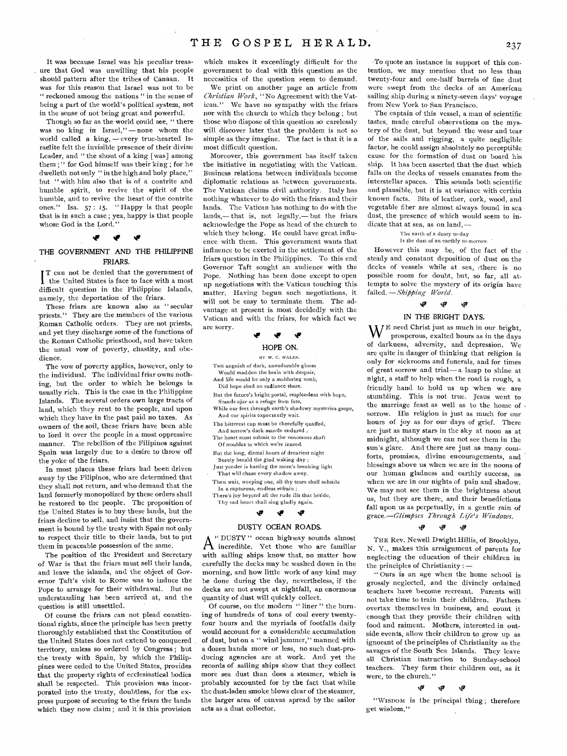It was because Israel was his peculiar treasure that God was unwilling that his people should pattern after the tribes of Canaan. It was for this reason that Israel was not to be " reckoned among the nations " in the sense of being a part of the world's political system, not in the sense of not being great and powerful.

Though so far as the world could see, " there was no king in Israel," —none whom the world called a king,  $-$  every true-hearted Israelite felt the invisible presence of their divine Leader, and " the shout of a king [was] among them ; " for God himself was their king ; for he dwelleth not only " in the high and holy place," but " with him also that is of a contrite and humble spirit, to revive the spirit of the humble, and to revive the heart of the contrite ones." Isa. 57 : 15. " Happy is that people that is in such a case ; yea, happy is that people whose God is the Lord."

## **ler tr**

# THE GOVERNMENT AND THE PHILIPPINE FRIARS,

I the United States is face to face with a most T can not be denied that the government of difficult question in the Philippine Islands, namely, the deportation of the friars.

These friars are known also as " secular priests." They are the members of the various Roman Catholic orders, They are not priests, and yet they discharge some of the functions of the Roman Catholic priesthood, and have taken the usual vow of poverty, chastity, and obedience.

The vow of poverty applies, however, only to the individual. The individual friar owns nothing, but the order to which he belongs is usually rich. This is the case in the Philippine Islands. The several orders own large tracts of land, which they rent to the people, and upon which they have in the past paid no taxes. As owners of the soil, these friars have been able to lord it over the people in a most oppressive manner. The rebellion of the Filipinos against Spain was largely due to a desire to throw off the yoke of the friars.

In most places these friars had been driven away by the Filipinos, who are determined that they shall not return, and who demand that the land formerly monopolized by these orders shall be restored to the people, The proposition of the United States is to buy these lands, but the friars decline to sell, and insist that the government is bound by the treaty with Spain not only to respect their title to their lands, but to put them in peaceable possession of the same.

The position of the President and Secretary of War is that the friars must sell their lands, and leave the islands, and the object of Governor Taft's visit to Rome was to induce the Pope to arrange for their withdrawal. But no understanding has been arrived at, and the question is still unsettled.

Of course the friars can not plead constitutional rights, since the principle has been pretty thoroughly established that the Constitution of the United States does not extend to conquered territory, unless so ordered by Congress ; but the treaty with Spain, by which the Philippines were ceded to the United States, provides that the property rights of ecclesiastical bodies shall be respected. This provision was incorporated into the treaty, doubtless, for the express purpose of securing to the friars the lands which they now claim; and it is this provision

which makes it exceedingly difficult for the government to deal with this question as the necessities of the question seem to demand.

We print on another page an article from *Christian Work, "No* Agreement with the Vatican." We have no sympathy with the friars nor with the church to which they belong ; but those who dispose of this question so carelessly will discover later that the problem is not so simple as they imagine. The fact is that it is a most difficult question.

Moreover, this government has itself taken the initiative in negotiating with the Vatican. Business relations between individuals become diplomatic relations as between governments. The Vatican claims civil authority. Italy has nothing whatever to do with the friars and their lands. The Vatican has nothing to do with the lands,— that is, not legally,— but the friars acknowledge the Pope as head of the church to which they belong. He could have great influence with them. This government wants that influence to be exerted in the settlement of the friars question in the Philippines. To this end Governor Taft sought an audience with the Pope. Nothing has been done except to open up negotiations with the Vatican touching this matter. Having begun such negotiations, it will not be easy to terminate them. The advantage at present is most decidedly with the Vatican and with the friars, for which fact we are sorry.

# *\*lr NIP*

### HOPE ON,

BY W. C. WALES. THE anguish of dark, unendurable gloom

Would madden the brain with despair, And life would be only a moldering tomb,

- Did hope shed no radiance there.
- But the future's bright portal, resplendent with hope, Stands ajar as a refuge from fate,
- While our feet through earth's shadowy mysteries grope, And our spirits expectantly wait.
- The bitterest cup must be cheerfully quaffed,
- And sorrow's dark mantle endured ;
- The heart must submit to the venomous shaft Of troubles to which we're inured.
- But the long, dismal hours of dreariest night
- Surely herald the glad waking day ; Just yonder is hosting the morn's breaking light That will chase every shadow away,
- Then wait, weeping one, all thy tears shall subside
- In a rapturous, endless refrain ; There's joy beyond all the rude ills that betide,
- 'Thy sad heart shall sing gladly again.

### **%Es tts**

### DUSTY OCEAN ROADS,

A<sup>" DUSTY" ocean highway sounds almost</sup> " DUSTY" ocean highway sounds almost with sailing ships know that, no matter how carefully the decks may be washed down in the morning, and how little work of any kind may be done during the day, nevertheless, if the decks are not swept at nightfall, an enormous quantity of dust will quickly collect.

Of course, on the modern "liner" the burning of hundreds of tons of coal every twentyfour hours and the myriads of footfalls daily would account for a considerable accumulation of dust, but on a " wind jammer," manned with a dozen hands more or less, no such dust-producing agencies are at work. And yet the records of sailing ships show that they collect more sea dust than does a steamer, which is probably accounted for by the fact that while the dust-laden smoke blows clear of the steamer, the larger area of canvas spread by the sailor acts as a dust collector.

'To quote an instance in support of this contention, we may mention that no less than twenty-four and one-half barrels of fine dust were swept from the decks of an American sailing ship during a ninety-seven days' voyage from New York to San Francisco.

The captain of this vessel, a man of scientific tastes, made careful observations on the mystery of the dust, but beyond the wear and tear of the sails and rigging, a quite negligible factor, he could assign absolutely no perceptible cause for the formation of dust on board his ship. It has been asserted that the dust which falls on the decks of vessels emanates from the interstellar spaces. This sounds both scientific and plausible, but it is at variance with certain known facts. Bits of leather, cork, wood, and vegetable fiber are almost always found in sea dust, the presence of which would seem to indicate that at sea, as on land, —

'The earth of a dusty to-day

### Is the dust of an earthly to-morrow.

However this may be, of the fact of the steady and constant deposition of dust on the decks of vessels while at sea, /there is no possible room for doubt, but, so far, all attempts to solve the mystery of its origin have failed. *—Shipping World.* 

#### \*47 ٧¥ ড়

# IN THE BRIGHT DAYS.

 $W^E$  need Christ just as much in our bright, prosperous, exalted hours as in the days of darkness, adversity, and depression. We are quite in danger of thinking that religion is only for sickrooms and funerals, and for times of great sorrow and trial— a lamp to shine at night, a staff to help when the road is rough, a friendly hand to hold us up 'when we are stumbling. This is not true. Jesus went to the marriage feast as well as to the home of sorrow. His religion is just as much for our hours of joy as for our days of grief. There are just as many stars in the sky at noon as at midnight, although we can not see them in the sun's glare. And there are just as many comforts, promises, divine encouragements, and blessings above us when we are in the noons of our human gladness and earthly success, as when we are in our nights of pain and shadow. We may not see them in the brightness about us, but they are there, and their benedictions fall upon us as perpetually, in a gentle rain of *grace.—Glimpses Through Life's Windows.* 

#### Ŵ, Ŵ  $\mathbf{v}$

THE Rev. Newell Dwight Hillis, of Brooklyn, N. Y., makes this arraignment of parents for neglecting the education of their children in the principles of Christianity : —

" Ours is an age when the home school is grossly neglected, and the divinely ordained teachers have become recreant. Parents will not take time to train their children. Fathers overtax themselves in business, and count it enough that they provide their children with food and raiment. Mothers, interested in outside events, allow their children to grow up as ignorant of the principles of Christianity as the savages of the South Sea Islands. They leave all Christian instruction to Sunday-school teachers. They farm their children out, as it were, to the church."

#### 'F ,0 Ŵ

"Wisnom is the principal thing ; therefore get wisdom."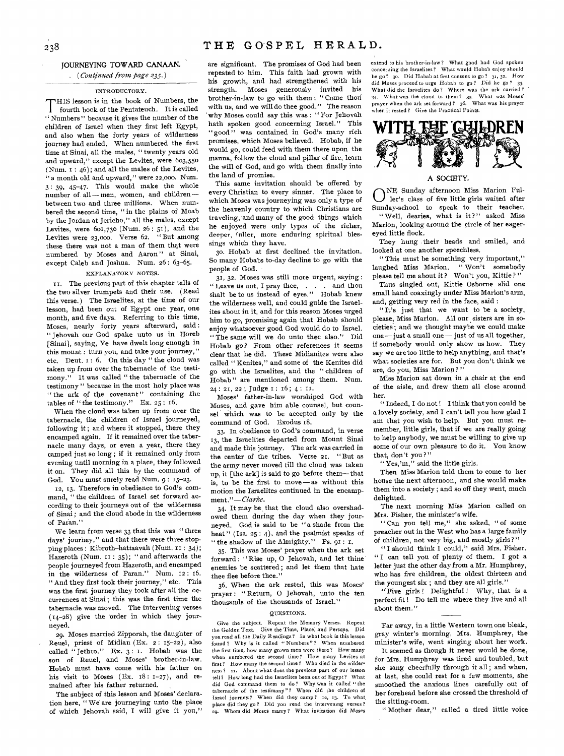# JOURNEYING TOWARD CANAAN,

# ( *Continued from page 235.)*

# INTRODUCTORY.

THIS lesson is in the book of Numbers, the<br>fourth book of the Pentateuch. It is called HIS lesson is in the book of Numbers, the " Numbers " because it gives the number of the children of Israel when they first left Egypt, and also when the forty years of wilderness journey had ended. When numbered the first time at Sinai, all the males, " twenty years old and upward," except the Levites, were 603,550 (Num. I : 46); and all the males of the Levites, " a month old and upward," were 22,000. Num. 3: 39, 45-47. This would make the whole number of all— men, women, and children between two and three millions. When numbered the second time, " in the plains of Moab by the Jordan at Jericho," all the males, except Levites, were 601,730 (Num. 26: 51), and the Levites were 23,00o. Verse 62. " But among these there was not a man of them that were numbered by Moses and Aaron " at Sinai, except Caleb and Joshua. Num. 26: 63-65.

# EXPLANATORY NOTES.

II. The previous part of this chapter tells of the two silver trumpets and their use. (Read this verse.) The Israelites, at the time of our lesson, had been out of Egypt one year, one month, and five days. Referring to this time, Moses, nearly forty years afterward, said : " Jehovah our God spake unto us in Horeb [Sinai], saying, Ye have dwelt long enough in this mount : turn you, and take your journey," etc. Deut. 1 : 6. On this day " the cloud was taken up from over the tabernacle of the testimony." It was called " the tabernacle of the testimony " because in the most holy place was " the ark of the covenant" containing the tables of "the testimony." Ex. 25: 16.

When the cloud was taken up from over the tabernacle, the children of Israel journeyed, following it ; and where it stopped, there they encamped again. If it remained over the tabernacle many days, or even a year, there they camped just so long ; if it remained only from evening until morning in a place, they followed it on. They did all this by the command of God. You must surely read Num. 9: 15-23.

22, 13. Therefore in obedience to God's command, "the children of Israel set forward according to their journeys out of the wilderness of Sinai ; and the cloud abode in the wilderness of Paran."

We learn from verse 33 that this was "three days' journey," and that there were three stopping places : Kibroth-hattaavah (Num. II : 34); Hazeroth (Num. II : 35); "and afterwards the people journeyed from Hazeroth, and encamped in the wilderness of Paran." Num. 12: 16. " And they first took their journey," etc. This was the first journey they took after all the occurrences at Sinai ; this was the first time the tabernacle was moved. The intervening verses  $(14-28)$  give the order in which they journeyed.

29. Moses married Zipporah, the daughter of Reuel, priest of Midian (Ex. 2: 15-22), also<br>called "Jethro." Ex. 3: 1. Hobab was the  $\sqrt{\ }$  Jethro." Ex. 3: 1. Hobab was the son of Reuel, and Moses' brother-in-law. Hobab must have come with his father on his visit to Moses  $(Ex. 18: 1-27)$ , and remained after his father returned.

The subject of this lesson and Moses' declaration here, " We are journeying unto the place of which Jehovah said, I will give it you,"

are significant. The promises of God had been repeated to him. This faith had grown with his growth, and had strengthened with his strength. Moses generously invited his brother-in-law to go with them : " Come thoti with us, and we will do thee good." The reason 'why Moses could say this was : " For Jehovah hath spoken good concerning Israel." This "good" was contained in God's many rich promises, which Moses believed. Hobab, if he would go, could feed with them there upon the manna, follow the cloud and pillar of fire, learn the will of God, and go with them finally into the land of promise.

This same invitation should be offered by every Christian to every sinner. The place to which Moses was journeying was only a type of the heavenly country to which Christians are traveling, and many of the good things which he enjoyed were only types *of* the richer, deeper, fuller, more enduring spiritual blessings which they have.

30. Hobab at first declined the invitation. So many Hobabs to-day decline to go with the people of God.

31, 32. Moses was still more urgent, saying : " Leave us not, I pray thee, . . . and thou shalt be to us instead of eyes." Hobab knew the wilderness well, and could guide the Israelites about in it, and for this reason Moses urged him to go, promising again that Hobab should enjoy whatsoever good God would do to Israel. " The same will we do unto thee also." Did Hobab go? From other references it seems clear that he did. These Midianites were also called "Kenites," and some of the Kenites did go with the Israelites, and the " children of Hobab " are mentioned among them. Num. 24 : 21, 22 ; Judge I : 16 ; 4 : II.

Moses' father-in-law worshiped God with Moses, and gave him able counsel, but counsel which was to be accepted only by the command of God. Exodus 18.

33. In obedience to God's command, in verse 13, the Israelites departed from Mount Sinai and made this journey. The ark was carried in the center of the tribes. Verse 21. " But as the army never moved till the cloud was taken up, it [the ark] is said to go before them—that is, to be the first to move — as without this motion the Israelites continued in the encampment."— *Clarke.* 

34. It may be that the cloud also overshadowed them during the day when they journeyed. God is said to be "a shade from the heat" (Isa. 25: 4), and the psalmist speaks of " the shadow of the Almighty." Ps. 91: 1.

35. This was Moses' prayer when the ark set forward : " Rise up, 0 Jehovah, and let thine' enemies be scattered ; and let them that hate thee flee before thee."

36. When the ark rested, this was Moses' prayer : " Return, 0 Jehovah, unto the ten thousands of the thousands of Israel."

# QUESTIONS.

Give the subject. Repeat the Memory Verses. Repeat the Golden Text. Give the Time, Place; and Persons. Did you read all the Daily Readings? In what book is this lesson found ? Why is it called "Numbers"? When numbered the first time, how many grown men were there ? How many when numbered the second time? How many Levites at first? How many the second time? Who died in the wilder-11. About what does the previous part of our lesson tell? How long had the Israelites been out of Egypt? What did God command them to do? Why was it called " the tabernacle of the testimony"? When did the children of Israel journey.? When did they camp? 12, 13. To what place did they go? Did you read the intervening verses? Whom did Moses marry? What invitation did Moses

extend to his brother-in-law? What good had God spoken concerning the Israelites? What would Hobab enjoy should he go? 30. Did Hobab at first consent to go? 31, 32. How did Moses proceed to urge Hobab to go? Did he go? 33. What did the Israelites do? Where was the ark carried?<br> $34.$  What was the cloud to them?  $35.$  What was Moses  $34.$  What was the cloud to them?  $35.$  What was Moses' prayer when the ark set forward?  $36.$  What was his prayer prayer when the ark set forward ? 36. when it rested? Give the Practical Points.



## A SOCIETY.

A SOCIETY.<br>  $\begin{array}{c} \text{N.E. Sunday afternoon Miss Marion Ful-} \\ \text{Ier's class of five little girls waited after} \end{array}$ Sunday-school to speak to their teacher. " Well, dearies, what is it?" asked Miss Marion, looking around the circle of her eagereyed little flock.

They hung their heads and smiled, and looked at one another speechless.

" This must be something very important," laughed Miss Marion. " Won't somebody please tell me about it? Won't you, Kittie?"

Thus singled out, Kittie Osborne slid one small hand coaxingly under Miss Marion's arm, and, getting very red in the face, said :

"It's just that we want to be a society, please, Miss Marion. All our sisters are in societies; and we thought maybe we could make one—just a small one — just of us all together, if somebody would only show us how. They say we are too little to help anything, and that's what societies are for. But you don't think we are, do you, Miss Marion?"

Miss Marion sat down in a chair at the end of the aisle, and drew them all close around her.

"Indeed, I do not! I think that you could be a lovely society, and I can't tell you how glad I am that you wish to help. But you must remember, little girls, that if we are really going to help anybody, we must be willing to give up some of our own pleasure to do it. You know that, don't you ?"

" Yes,'m," said the little girls.

Then Miss Marion told them to come to her house the next afternoon, and she would make them into a society ; and so off they went, much delighted.

The next morning Miss Marion called on Mrs. Fisher, the minister's wife.

" Can you tell me," she asked, " of some preacher out in the West who has a large family of children, not very big, and mostly girls?"

"I should think I could," said Mrs. Fisher. "I can tell you of plenty of them. I got a letter just the other day from a Mr. Humphrey, who has five children, the oldest thirteen and the youngest six ; and they are all girls."

"Five girls! Delightful! Why, that is a perfect fit! Do tell me where they live and all about them."

Far away, in a little Western town one bleak, gray winter's morning, Mrs. Humphrey, the minister's wife, went singing about her work.

It seemed as though it never would be done, for Mrs. Humphrey was tired and toubled, but she sang cheerfully through it all ; and when, at last, she could rest for a few moments, she smoothed the anxious lines carefully out of her forehead before she crossed the threshold of the sitting-room.

" Mother dear," called a tired little voice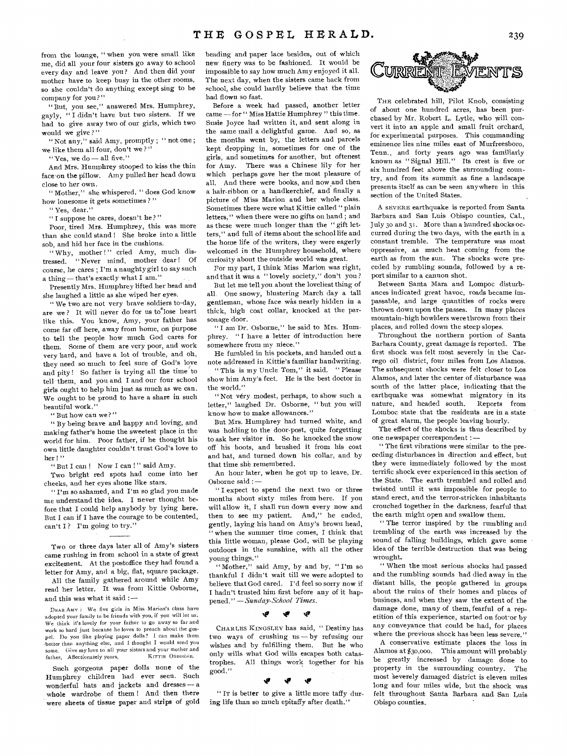" But, you see," answered Mrs. Humphrey, gayly, " I didn't have but two sisters. If we had to give away two of our girls, which two would we give?"

" Not any," said Amy, promptly ; " not one ; we like them all four, don't we ? "

" Yes, we do — all five."

And Mrs. Humphrey stooped to kiss the thin face on the pillow. Amy pulled her head down close to her own.

" Mother," she whispered, " does God know how lonesome it gets sometimes ?"

" Yes, dear."

" I suppose he cares, doesn't he? "

Poor, tired Mrs. Humphrey, this was more than she could stand ! She broke into a little sob, and hid her face in the cushions.

Why, mother !" cried Amy, much distressed. " Never mind, mother dear ! Of course, he cares ; I'm a naughty girl to say such a thing — that's exactly what I am."

Presently Mrs. Humphrey lifted her head and she laughed a little as she wiped her eyes.

" We two are not very brave soldiers to-day, are we? It will never do for us to lose heart like this. You know, Amy, your father has come far off here, away from home, on purpose to tell the people how much God cares for them. Some of them are very poor, and work very hard, and have a lot of trouble, and oh, they need so much to feel sure of God's love and pity! So father is trying all the time to tell them, and you and I and our four school girls ought to help him just as much as we can. We ought to be proud to have a share in such beautiful work."

" But how can we?"

" By being brave and happy and loving, and making father's home the sweetest place in the world for him. Poor father, if he thought his own little daughter couldn't trust God's love to her!"

" But I can ! Now I can !" said Amy.

Two bright red spots had come into her cheeks, and her eyes shone like stars.

" I'm so ashamed, and I'm so glad you made me understand the idea. I never thought before that I could help anybody by lying here. But I can if I have the courage to be contented, can't I? I'm going to try."

Two or three days later all of Amy's sisters came rushing in from school in a state of great excitement. At the postoffice they had found a letter for Amy, and a big, flat, square package.

All the family gathered around while Amy read her letter. It was from Kittie Osborne, and this was what it said : —

DEAR Amy : We five girls in Miss Marion's class have adopted your family to be friends with you, if you will let us. We think it's lovely for your father to go away so far and work so hard just because he loves to preach about the gospel. Do you like playing paper dolls ? I can make them -better than anything else, and I thought I would send you Give my love to all your sisters and your mother and<br>Affectionately yours. KITTIE OSBORNE. father. Affectionately yours,

Such gorgeous paper dolls none of the Humphrey children had ever seen. Such wonderful hats and jackets and dresses — a whole wardrobe of them ! And then there were sheets of tissue paper and strips of gold beading and paper lace besides, out of which new finery was to be fashioned. It would be impossible to say how much Amy enjoyed it all. The next day, when the sisters came back from school, she could hardly believe that the time had flown so fast.

Before a week had passed, another letter came — for " Miss Hattie Humphrey " this time. Susie Joyce had written it, and sent along in the same mail a delightful game. And so, as the months went by, the letters and parcels kept dropping in, sometimes for one of the girls, and sometimes for another, but oftenest for Amy. There was a Chinese lily for her which perhaps gave her the most pleasure of all. And there were books, and now and then a hair-ribbon or a handkerchief, and finally a picture of Miss Marion and her whole class. Sometimes there were what Kittie called " plain letters," when there were no gifts on hand ; and as these were much longer than the " gift letters," and full of items about the school life and the home life of the writers, they were eagerly welcomed in the Humphrey household, where curiosity about the outside world was great.

For my part, I think Miss Marion was right, and that it was a "lovely society," don't you?

But let me tell you about the loveliest thing of all. One snowy, blustering March day a tall gentleman, whose face was nearly hidden in a thick, high coat collar, knocked at the parsonage door.

" I am Dr. Osborne," he said to Mrs. Humphrey. "I have a letter of introduction here somewhere from my niece."

He fumbled in his pockets, and handed out a note addressed in Kittie's familiar handwriting.

"This is my Uncle Tom," it said. "Please show him Amy's feet. He is the best doctor in the world."

"Not very modest, perhaps, to show such a letter," laughed Dr. Osborne, " but you will know how to make allowances."

But Mrs. Humphrey had turned white, and was holding to the door-post, quite forgetting to ask her visitor in. So he knocked the snow off his boots, and brushed it from his coat and hat, and turned down his collar, and by that time she remembered.

An hour later, when he got up to leave, Dr. Osborne said : —

" I expect to spend the next two or three months about sixty miles from here. If you will allow it, I shall run down every now and then to see my patient. And," he ended, gently, laying his hand on Amy's brown head, when the summer time comes, I think that this little woman, please God, will be playing outdoors in the sunshine, with all the other young things."

"Mother," said Amy, by and by, "I'm so thankful I didn't wait till we were adopted to believe that God cared. I'd feel so sorry now if I hadn't trusted him first before any of it happened." *—Sunday-School Times.* 

### ÷

CHARLES KINGSLEY has said, " Destiny has two ways of crushing us — by refusing our wishes and by fulfilling them. But he who only wills what God wills escapes both catastrophes. All things work together for his good."

### **tiv**

" IT is better to give a little more taffy during life than so much epitaffy after death.'



THE celebrated hill, Pilot Knob, consisting of about one hundred acres, has been purchased by Mr. Robert L. Lytle, who will convert it into an apple and small fruit orchard, for experimental purposes. This commanding eminence lies nine miles east of Murfreesboro, Tenn., and forty years ago was familiarly known as "Signal Hill." Its crest is five or six hundred feet above the surrounding country, and from its summit as fine a landscape presents itself as can be seen anywhere in this section of the United States.

A SEVERE earthquake is reported from Santa Barbara and San Luis Obispo counties, Cal., July 3o and 31. More than a hundred shocks occurred during the two days, with the earth in a constant tremble. The temperature was most oppressive, as much heat coming from the earth as from the sun. The shocks were preceded by rumbling sounds, followed by a report similar to a cannon shot.

Between Santa Mara and Lompoc disturbances indicated great havoc, roads became impassable, and large quantities of rocks were thrown down upon the passes. In many places mountain-high bowlders were thrown from their places, and rolled down the steep slopes.

Throughout the northern portion of Santa Barbara County, great damage is reported. The first shock was felt most severely in the Carrego oil district, four miles from Los Alamos. The subsequent shocks were felt closer to Los Alamos, and later the center of disturbance was south of the latter place, indicating that the earthquake was somewhat migratory in its nature, and headed south. Reports from Lomboc state that the residents are in a state of great alarm, the people leaving hourly.

The effect of the shocks is thus described by one newspaper correspondent :—

" The first vibrations were similar to the preceding disturbances in direction and effect, but they were immediately followed by the most terrific shock ever experienced in this section of the State. The earth trembled and rolled and twisted until it was impossible for people to stand erect, and the terror-stricken inhabitants crouched together in the darkness, fearful that the earth might open and swallow them.

" The terror inspired by the rumbling and trembling of the earth was increased by the sound of falling buildings, which gave some idea of the terrible destruction that was being wrought.

" When the most serious shocks had passed and the rumbling sounds had died away in the distant hills, the people gathered in groups about the ruins of their homes and places of business, and when they saw the extent of the damage done, many of them, fearful of a repetition of this experience, started on foot'or by any conveyance that could be had, for places where the previous shock has been less severe."

A conservative estimate places the loss in Alamos at \$30,000. This amount will probably be greatly increased by damage done to property in the surrounding country. The most 'severely damaged district is eleven miles long and four miles wide, but the shock was felt throughout Santa Barbara and San Luis Obispo counties..